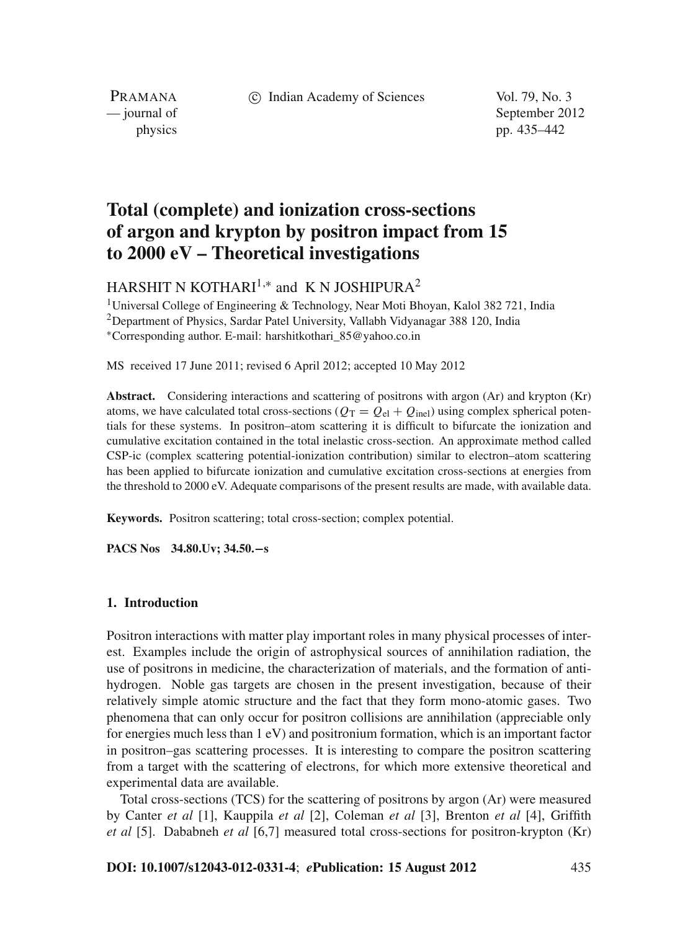c Indian Academy of Sciences Vol. 79, No. 3

PRAMANA

— journal of September 2012 physics pp. 435–442

# **Total (complete) and ionization cross-sections of argon and krypton by positron impact from 15 to 2000 eV – Theoretical investigations**

HARSHIT N KOTHARI<sup>1,\*</sup> and K N JOSHIPURA<sup>2</sup>

<sup>1</sup>Universal College of Engineering & Technology, Near Moti Bhoyan, Kalol 382 721, India 2Department of Physics, Sardar Patel University, Vallabh Vidyanagar 388 120, India <sup>∗</sup>Corresponding author. E-mail: harshitkothari\_85@yahoo.co.in

MS received 17 June 2011; revised 6 April 2012; accepted 10 May 2012

**Abstract.** Considering interactions and scattering of positrons with argon (Ar) and krypton (Kr) atoms, we have calculated total cross-sections ( $Q_T = Q_{el} + Q_{inel}$ ) using complex spherical potentials for these systems. In positron–atom scattering it is difficult to bifurcate the ionization and cumulative excitation contained in the total inelastic cross-section. An approximate method called CSP-ic (complex scattering potential-ionization contribution) similar to electron–atom scattering has been applied to bifurcate ionization and cumulative excitation cross-sections at energies from the threshold to 2000 eV. Adequate comparisons of the present results are made, with available data.

**Keywords.** Positron scattering; total cross-section; complex potential.

**PACS Nos 34.80.Uv; 34.50.−s**

## **1. Introduction**

Positron interactions with matter play important roles in many physical processes of interest. Examples include the origin of astrophysical sources of annihilation radiation, the use of positrons in medicine, the characterization of materials, and the formation of antihydrogen. Noble gas targets are chosen in the present investigation, because of their relatively simple atomic structure and the fact that they form mono-atomic gases. Two phenomena that can only occur for positron collisions are annihilation (appreciable only for energies much less than 1 eV) and positronium formation, which is an important factor in positron–gas scattering processes. It is interesting to compare the positron scattering from a target with the scattering of electrons, for which more extensive theoretical and experimental data are available.

Total cross-sections (TCS) for the scattering of positrons by argon (Ar) were measured by Canter *et al* [1], Kauppila *et al* [2], Coleman *et al* [3], Brenton *et al* [4], Griffith *et al* [5]. Dababneh *et al* [6,7] measured total cross-sections for positron-krypton (Kr)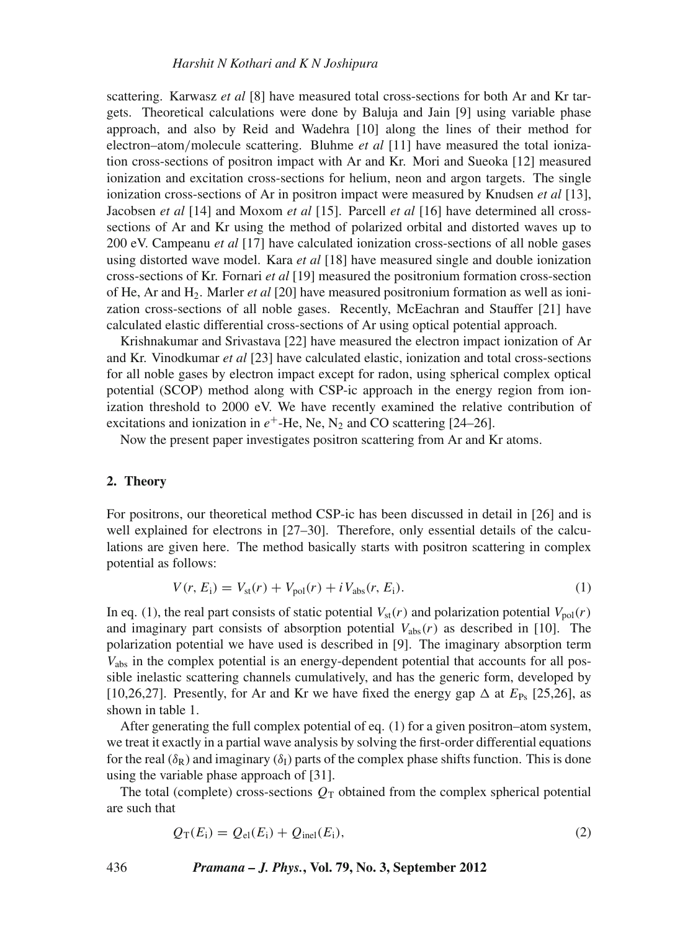#### *Harshit N Kothari and K N Joshipura*

scattering. Karwasz *et al* [8] have measured total cross-sections for both Ar and Kr targets. Theoretical calculations were done by Baluja and Jain [9] using variable phase approach, and also by Reid and Wadehra [10] along the lines of their method for electron–atom/molecule scattering. Bluhme *et al* [11] have measured the total ionization cross-sections of positron impact with Ar and Kr. Mori and Sueoka [12] measured ionization and excitation cross-sections for helium, neon and argon targets. The single ionization cross-sections of Ar in positron impact were measured by Knudsen *et al* [13], Jacobsen *et al* [14] and Moxom *et al* [15]. Parcell *et al* [16] have determined all crosssections of Ar and Kr using the method of polarized orbital and distorted waves up to 200 eV. Campeanu *et al* [17] have calculated ionization cross-sections of all noble gases using distorted wave model. Kara *et al* [18] have measured single and double ionization cross-sections of Kr. Fornari *et al* [19] measured the positronium formation cross-section of He, Ar and H2. Marler *et al* [20] have measured positronium formation as well as ionization cross-sections of all noble gases. Recently, McEachran and Stauffer [21] have calculated elastic differential cross-sections of Ar using optical potential approach.

Krishnakumar and Srivastava [22] have measured the electron impact ionization of Ar and Kr. Vinodkumar *et al* [23] have calculated elastic, ionization and total cross-sections for all noble gases by electron impact except for radon, using spherical complex optical potential (SCOP) method along with CSP-ic approach in the energy region from ionization threshold to 2000 eV. We have recently examined the relative contribution of excitations and ionization in  $e^+$ -He, Ne, N<sub>2</sub> and CO scattering [24–26].

Now the present paper investigates positron scattering from Ar and Kr atoms.

#### **2. Theory**

For positrons, our theoretical method CSP-ic has been discussed in detail in [26] and is well explained for electrons in [27–30]. Therefore, only essential details of the calculations are given here. The method basically starts with positron scattering in complex potential as follows:

$$
V(r, E_{i}) = V_{\text{st}}(r) + V_{\text{pol}}(r) + i V_{\text{abs}}(r, E_{i}).
$$
\n(1)

In eq. (1), the real part consists of static potential  $V_{\text{st}}(r)$  and polarization potential  $V_{\text{pol}}(r)$ and imaginary part consists of absorption potential  $V_{\text{abs}}(r)$  as described in [10]. The polarization potential we have used is described in [9]. The imaginary absorption term *V*abs in the complex potential is an energy-dependent potential that accounts for all possible inelastic scattering channels cumulatively, and has the generic form, developed by [10,26,27]. Presently, for Ar and Kr we have fixed the energy gap  $\Delta$  at  $E_{\text{Ps}}$  [25,26], as shown in table 1.

After generating the full complex potential of eq. (1) for a given positron–atom system, we treat it exactly in a partial wave analysis by solving the first-order differential equations for the real ( $\delta_R$ ) and imaginary ( $\delta_I$ ) parts of the complex phase shifts function. This is done using the variable phase approach of [31].

The total (complete) cross-sections  $Q_T$  obtained from the complex spherical potential are such that

$$
Q_{\rm T}(E_{\rm i}) = Q_{\rm el}(E_{\rm i}) + Q_{\rm inel}(E_{\rm i}),\tag{2}
$$

436 *Pramana – J. Phys.***, Vol. 79, No. 3, September 2012**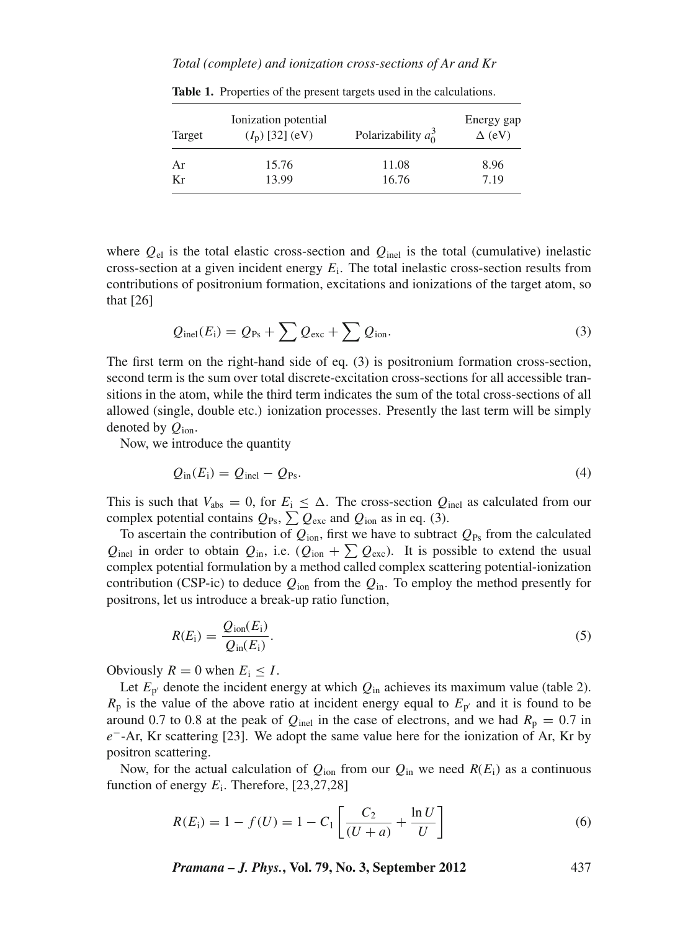#### *Total (complete) and ionization cross-sections of Ar and Kr*

| Target | Ionization potential<br>$(I_p)$ [32] (eV) | Polarizability $a_0^3$ | Energy gap<br>$\Delta$ (eV) |
|--------|-------------------------------------------|------------------------|-----------------------------|
| Ar     | 15.76                                     | 11.08                  | 8.96                        |
| Kr     | 13.99                                     | 16.76                  | 7.19                        |

**Table 1.** Properties of the present targets used in the calculations.

where  $Q_{el}$  is the total elastic cross-section and  $Q_{inel}$  is the total (cumulative) inelastic cross-section at a given incident energy *E*i. The total inelastic cross-section results from contributions of positronium formation, excitations and ionizations of the target atom, so that [26]

$$
Q_{\text{inel}}(E_i) = Q_{\text{Ps}} + \sum Q_{\text{exc}} + \sum Q_{\text{ion}}.
$$
 (3)

The first term on the right-hand side of eq. (3) is positronium formation cross-section, second term is the sum over total discrete-excitation cross-sections for all accessible transitions in the atom, while the third term indicates the sum of the total cross-sections of all allowed (single, double etc.) ionization processes. Presently the last term will be simply denoted by *Q*ion.

Now, we introduce the quantity

$$
Q_{\rm in}(E_{\rm i}) = Q_{\rm inel} - Q_{\rm Ps}.\tag{4}
$$

This is such that  $V_{\text{abs}} = 0$ , for  $E_i \leq \Delta$ . The cross-section  $Q_{\text{inel}}$  as calculated from our complex potential contains  $Q_{\text{Ps}}$ ,  $\sum Q_{\text{exc}}$  and  $Q_{\text{ion}}$  as in eq. (3).

To ascertain the contribution of  $Q_{\text{ion}}$ , first we have to subtract  $Q_{\text{Ps}}$  from the calculated  $Q_{\text{inel}}$  in order to obtain  $Q_{\text{in}}$ , i.e.  $(Q_{\text{ion}} + \sum Q_{\text{exc}})$ . It is possible to extend the usual complex potential formulation by a method called complex scattering potential-ionization contribution (CSP-ic) to deduce  $Q_{\text{ion}}$  from the  $Q_{\text{in}}$ . To employ the method presently for positrons, let us introduce a break-up ratio function,

$$
R(E_i) = \frac{Q_{\text{ion}}(E_i)}{Q_{\text{in}}(E_i)}.
$$
\n
$$
(5)
$$

Obviously  $R = 0$  when  $E_i \leq I$ .

Let  $E_{p'}$  denote the incident energy at which  $Q_{in}$  achieves its maximum value (table 2).  $R_p$  is the value of the above ratio at incident energy equal to  $E_p$  and it is found to be around 0.7 to 0.8 at the peak of  $Q_{\text{inel}}$  in the case of electrons, and we had  $R_{\text{p}} = 0.7$  in *e*<sup>−</sup>-Ar, Kr scattering [23]. We adopt the same value here for the ionization of Ar, Kr by positron scattering.

Now, for the actual calculation of  $Q_{\text{ion}}$  from our  $Q_{\text{in}}$  we need  $R(E_i)$  as a continuous function of energy  $E_i$ . Therefore,  $[23,27,28]$ 

$$
R(E_i) = 1 - f(U) = 1 - C_1 \left[ \frac{C_2}{(U + a)} + \frac{\ln U}{U} \right]
$$
 (6)

*Pramana – J. Phys.***, Vol. 79, No. 3, September 2012** 437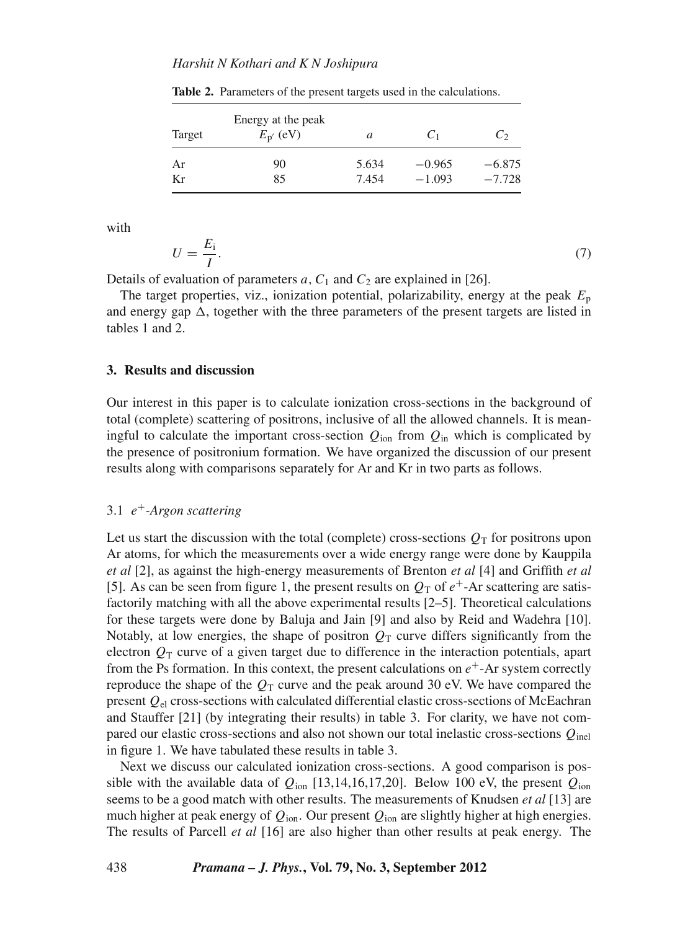## *Harshit N Kothari and K N Joshipura*

| Target | Energy at the peak<br>$E_{p'}$ (eV) | a     | C <sub>1</sub> | C,       |
|--------|-------------------------------------|-------|----------------|----------|
| Ar     | 90                                  | 5.634 | $-0.965$       | $-6.875$ |
| Кr     | 85                                  | 7.454 | $-1.093$       | $-7.728$ |

**Table 2.** Parameters of the present targets used in the calculations.

with

$$
U = \frac{E_i}{I}.\tag{7}
$$

Details of evaluation of parameters  $a, C_1$  and  $C_2$  are explained in [26].

The target properties, viz., ionization potential, polarizability, energy at the peak *E*<sup>p</sup> and energy gap  $\Delta$ , together with the three parameters of the present targets are listed in tables 1 and 2.

## **3. Results and discussion**

Our interest in this paper is to calculate ionization cross-sections in the background of total (complete) scattering of positrons, inclusive of all the allowed channels. It is meaningful to calculate the important cross-section  $Q_{\text{ion}}$  from  $Q_{\text{in}}$  which is complicated by the presence of positronium formation. We have organized the discussion of our present results along with comparisons separately for Ar and Kr in two parts as follows.

# 3.1 *e*<sup>+</sup>*-Argon scattering*

Let us start the discussion with the total (complete) cross-sections  $Q_T$  for positrons upon Ar atoms, for which the measurements over a wide energy range were done by Kauppila *et al* [2], as against the high-energy measurements of Brenton *et al* [4] and Griffith *et al* [5]. As can be seen from figure 1, the present results on  $Q_T$  of  $e^+$ -Ar scattering are satisfactorily matching with all the above experimental results [2–5]. Theoretical calculations for these targets were done by Baluja and Jain [9] and also by Reid and Wadehra [10]. Notably, at low energies, the shape of positron  $Q<sub>T</sub>$  curve differs significantly from the electron  $Q_T$  curve of a given target due to difference in the interaction potentials, apart from the Ps formation. In this context, the present calculations on  $e^+$ -Ar system correctly reproduce the shape of the  $Q_T$  curve and the peak around 30 eV. We have compared the present *Q*el cross-sections with calculated differential elastic cross-sections of McEachran and Stauffer [21] (by integrating their results) in table 3. For clarity, we have not compared our elastic cross-sections and also not shown our total inelastic cross-sections *Q*inel in figure 1. We have tabulated these results in table 3.

Next we discuss our calculated ionization cross-sections. A good comparison is possible with the available data of  $Q_{\text{ion}}$  [13,14,16,17,20]. Below 100 eV, the present  $Q_{\text{ion}}$ seems to be a good match with other results. The measurements of Knudsen *et al* [13] are much higher at peak energy of *Q*ion. Our present *Q*ion are slightly higher at high energies. The results of Parcell *et al* [16] are also higher than other results at peak energy. The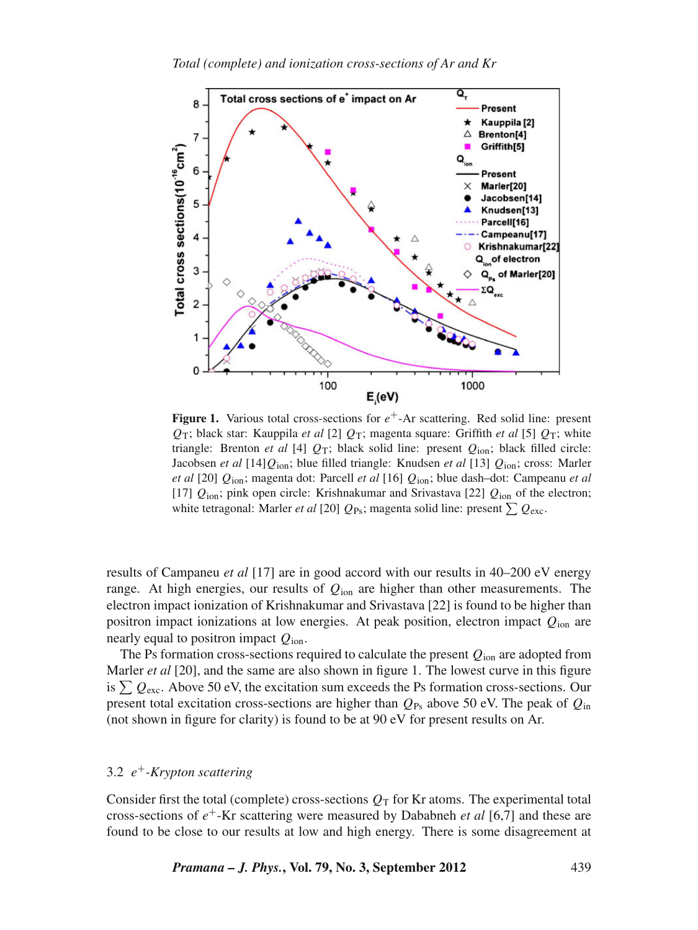

**Figure 1.** Various total cross-sections for  $e^+$ -Ar scattering. Red solid line: present  $Q_T$ ; black star: Kauppila *et al* [2]  $Q_T$ ; magenta square: Griffith *et al* [5]  $Q_T$ ; white triangle: Brenton *et al* [4]  $Q_T$ ; black solid line: present  $Q_{\text{ion}}$ ; black filled circle: Jacobsen *et al* [14]*Q*ion; blue filled triangle: Knudsen *et al* [13] *Q*ion; cross: Marler *et al* [20] *Q*ion; magenta dot: Parcell *et al* [16] *Q*ion; blue dash–dot: Campeanu *et al* [17] *Q*ion; pink open circle: Krishnakumar and Srivastava [22] *Q*ion of the electron; white tetragonal: Marler *et al* [20]  $Q_{\text{Ps}}$ ; magenta solid line: present  $\sum Q_{\text{exc}}$ .

results of Campaneu *et al* [17] are in good accord with our results in 40–200 eV energy range. At high energies, our results of *Q*ion are higher than other measurements. The electron impact ionization of Krishnakumar and Srivastava [22] is found to be higher than positron impact ionizations at low energies. At peak position, electron impact *Q*ion are nearly equal to positron impact *Q*ion.

The Ps formation cross-sections required to calculate the present  $Q_{\text{ion}}$  are adopted from Marler *et al* [20], and the same are also shown in figure 1. The lowest curve in this figure is  $\sum Q_{\text{exc}}$ . Above 50 eV, the excitation sum exceeds the Ps formation cross-sections. Our present total excitation cross-sections are higher than  $Q_{\text{Ps}}$  above 50 eV. The peak of  $Q_{\text{in}}$ (not shown in figure for clarity) is found to be at 90 eV for present results on Ar.

# 3.2 *e*<sup>+</sup>*-Krypton scattering*

Consider first the total (complete) cross-sections  $Q_T$  for Kr atoms. The experimental total cross-sections of *e*<sup>+</sup>-Kr scattering were measured by Dababneh *et al* [6,7] and these are found to be close to our results at low and high energy. There is some disagreement at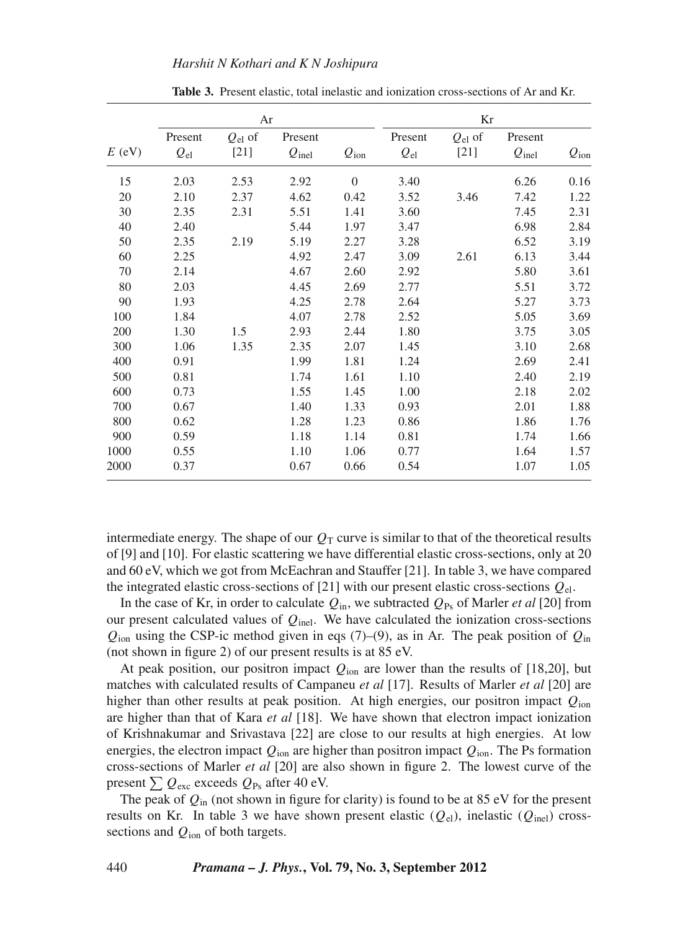|          | Ar                      |                       |                              |                | Kr                      |                       |                              |                  |
|----------|-------------------------|-----------------------|------------------------------|----------------|-------------------------|-----------------------|------------------------------|------------------|
| $E$ (eV) | Present<br>$Q_{\rm el}$ | $Q_{el}$ of<br>$[21]$ | Present<br>$Q_{\text{inel}}$ | $Q_{\rm ion}$  | Present<br>$Q_{\rm el}$ | $Q_{el}$ of<br>$[21]$ | Present<br>$Q_{\text{inel}}$ | $Q_{\text{ion}}$ |
|          |                         |                       |                              |                |                         |                       |                              |                  |
| 15       | 2.03                    | 2.53                  | 2.92                         | $\overline{0}$ | 3.40                    |                       | 6.26                         | 0.16             |
| 20       | 2.10                    | 2.37                  | 4.62                         | 0.42           | 3.52                    | 3.46                  | 7.42                         | 1.22             |
| 30       | 2.35                    | 2.31                  | 5.51                         | 1.41           | 3.60                    |                       | 7.45                         | 2.31             |
| 40       | 2.40                    |                       | 5.44                         | 1.97           | 3.47                    |                       | 6.98                         | 2.84             |
| 50       | 2.35                    | 2.19                  | 5.19                         | 2.27           | 3.28                    |                       | 6.52                         | 3.19             |
| 60       | 2.25                    |                       | 4.92                         | 2.47           | 3.09                    | 2.61                  | 6.13                         | 3.44             |
| 70       | 2.14                    |                       | 4.67                         | 2.60           | 2.92                    |                       | 5.80                         | 3.61             |
| 80       | 2.03                    |                       | 4.45                         | 2.69           | 2.77                    |                       | 5.51                         | 3.72             |
| 90       | 1.93                    |                       | 4.25                         | 2.78           | 2.64                    |                       | 5.27                         | 3.73             |
| 100      | 1.84                    |                       | 4.07                         | 2.78           | 2.52                    |                       | 5.05                         | 3.69             |
| 200      | 1.30                    | 1.5                   | 2.93                         | 2.44           | 1.80                    |                       | 3.75                         | 3.05             |
| 300      | 1.06                    | 1.35                  | 2.35                         | 2.07           | 1.45                    |                       | 3.10                         | 2.68             |
| 400      | 0.91                    |                       | 1.99                         | 1.81           | 1.24                    |                       | 2.69                         | 2.41             |
| 500      | 0.81                    |                       | 1.74                         | 1.61           | 1.10                    |                       | 2.40                         | 2.19             |
| 600      | 0.73                    |                       | 1.55                         | 1.45           | 1.00                    |                       | 2.18                         | 2.02             |
| 700      | 0.67                    |                       | 1.40                         | 1.33           | 0.93                    |                       | 2.01                         | 1.88             |
| 800      | 0.62                    |                       | 1.28                         | 1.23           | 0.86                    |                       | 1.86                         | 1.76             |
| 900      | 0.59                    |                       | 1.18                         | 1.14           | 0.81                    |                       | 1.74                         | 1.66             |
| 1000     | 0.55                    |                       | 1.10                         | 1.06           | 0.77                    |                       | 1.64                         | 1.57             |
| 2000     | 0.37                    |                       | 0.67                         | 0.66           | 0.54                    |                       | 1.07                         | 1.05             |

**Table 3.** Present elastic, total inelastic and ionization cross-sections of Ar and Kr.

intermediate energy. The shape of our  $Q_T$  curve is similar to that of the theoretical results of [9] and [10]. For elastic scattering we have differential elastic cross-sections, only at 20 and 60 eV, which we got from McEachran and Stauffer [21]. In table 3, we have compared the integrated elastic cross-sections of [21] with our present elastic cross-sections *Q*el.

In the case of Kr, in order to calculate  $Q_{\text{in}}$ , we subtracted  $Q_{\text{Ps}}$  of Marler *et al* [20] from our present calculated values of *Q*inel. We have calculated the ionization cross-sections  $Q_{\text{ion}}$  using the CSP-ic method given in eqs (7)–(9), as in Ar. The peak position of  $Q_{\text{in}}$ (not shown in figure 2) of our present results is at 85 eV.

At peak position, our positron impact  $Q_{\text{ion}}$  are lower than the results of [18,20], but matches with calculated results of Campaneu *et al* [17]. Results of Marler *et al* [20] are higher than other results at peak position. At high energies, our positron impact *Q*ion are higher than that of Kara *et al* [18]. We have shown that electron impact ionization of Krishnakumar and Srivastava [22] are close to our results at high energies. At low energies, the electron impact  $Q_{\text{ion}}$  are higher than positron impact  $Q_{\text{ion}}$ . The Ps formation cross-sections of Marler *et al* [20] are also shown in figure 2. The lowest curve of the present  $\sum Q_{\text{exc}}$  exceeds  $Q_{\text{Ps}}$  after 40 eV.

The peak of  $Q_{in}$  (not shown in figure for clarity) is found to be at 85 eV for the present results on Kr. In table 3 we have shown present elastic  $(Q_{el})$ , inelastic  $(Q_{inel})$  crosssections and *Q*ion of both targets.

440 *Pramana – J. Phys.***, Vol. 79, No. 3, September 2012**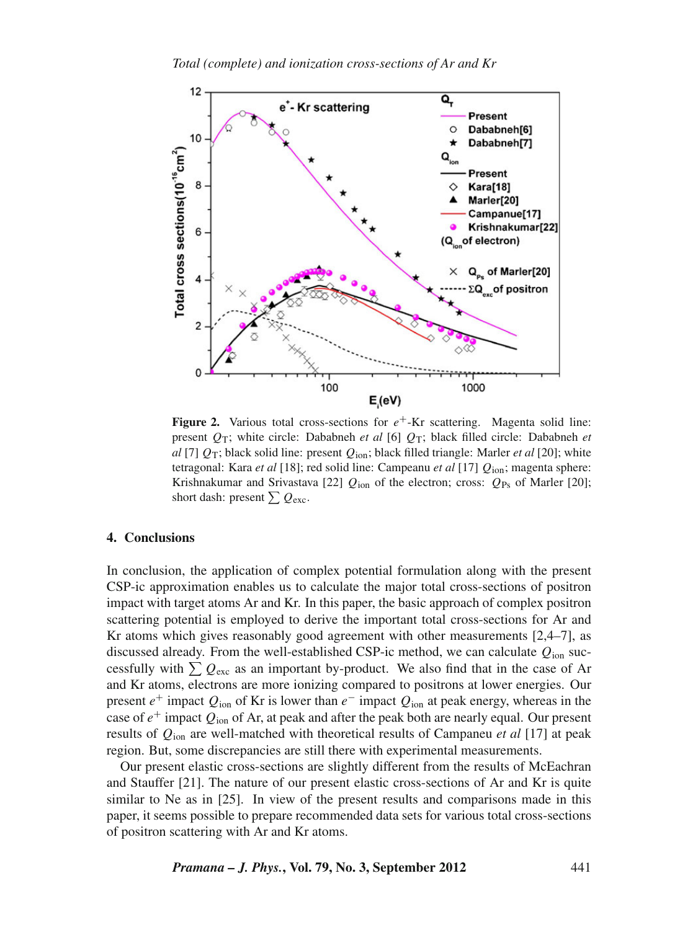

**Figure 2.** Various total cross-sections for  $e^+$ -Kr scattering. Magenta solid line: present *Q*T; white circle: Dababneh *et al* [6] *Q*T; black filled circle: Dababneh *et al* [7] *Q*T; black solid line: present *Q*ion; black filled triangle: Marler *et al* [20]; white tetragonal: Kara *et al* [18]; red solid line: Campeanu *et al* [17] *Q*ion; magenta sphere: Krishnakumar and Srivastava [22]  $Q_{\text{ion}}$  of the electron; cross:  $Q_{\text{Ps}}$  of Marler [20]; short dash: present  $\sum Q_{\text{exc}}$ .

# **4. Conclusions**

In conclusion, the application of complex potential formulation along with the present CSP-ic approximation enables us to calculate the major total cross-sections of positron impact with target atoms Ar and Kr. In this paper, the basic approach of complex positron scattering potential is employed to derive the important total cross-sections for Ar and Kr atoms which gives reasonably good agreement with other measurements [2,4–7], as discussed already. From the well-established CSP-ic method, we can calculate *Q*ion successfully with  $\sum Q_{\text{exc}}$  as an important by-product. We also find that in the case of Ar and Kr atoms, electrons are more ionizing compared to positrons at lower energies. Our present  $e^+$  impact  $Q_{\text{ion}}$  of Kr is lower than  $e^-$  impact  $Q_{\text{ion}}$  at peak energy, whereas in the case of *e*<sup>+</sup> impact *Q*ion of Ar, at peak and after the peak both are nearly equal. Our present results of *Q*ion are well-matched with theoretical results of Campaneu *et al* [17] at peak region. But, some discrepancies are still there with experimental measurements.

Our present elastic cross-sections are slightly different from the results of McEachran and Stauffer [21]. The nature of our present elastic cross-sections of Ar and Kr is quite similar to Ne as in [25]. In view of the present results and comparisons made in this paper, it seems possible to prepare recommended data sets for various total cross-sections of positron scattering with Ar and Kr atoms.